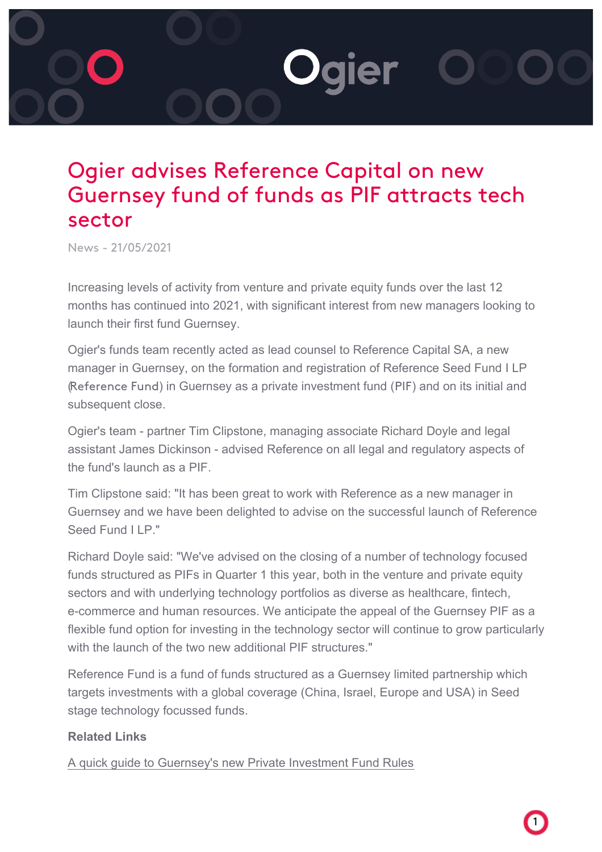# **Ogier**

# Ogier advises Reference Capital on new Guernsey fund of funds as PIF attracts tech sector

News - 21/05/2021

Increasing levels of activity from venture and private equity funds over the last 12 months has continued into 2021, with significant interest from new managers looking to launch their first fund Guernsey.

Ogier's funds team recently acted as lead counsel to Reference Capital SA, a new manager in Guernsey, on the formation and registration of Reference Seed Fund I LP (Reference Fund) in Guernsey as a private investment fund (PIF) and on its initial and subsequent close.

Ogier's team - partner Tim Clipstone, managing associate Richard Doyle and legal assistant James Dickinson - advised Reference on all legal and regulatory aspects of the fund's launch as a PIF.

Tim Clipstone said: "It has been great to work with Reference as a new manager in Guernsey and we have been delighted to advise on the successful launch of Reference Seed Fund I LP."

Richard Doyle said: "We've advised on the closing of a number of technology focused funds structured as PIFs in Quarter 1 this year, both in the venture and private equity sectors and with underlying technology portfolios as diverse as healthcare, fintech, e-commerce and human resources. We anticipate the appeal of the Guernsey PIF as a flexible fund option for investing in the technology sector will continue to grow particularly with the launch of the two new additional PIF structures."

Reference Fund is a fund of funds structured as a Guernsey limited partnership which targets investments with a global coverage (China, Israel, Europe and USA) in Seed stage technology focussed funds.

# **Related Links**

[A quick guide to Guernsey's new Private Investment Fund Rules](https://www.ogier.com/publications/a-quick-guide-to-guernseys-new-private-investment-fund-rules)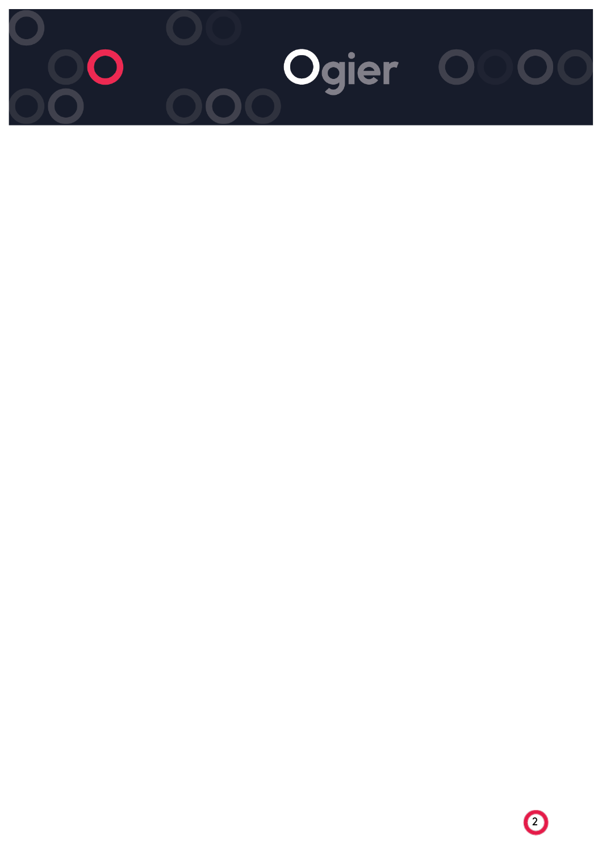